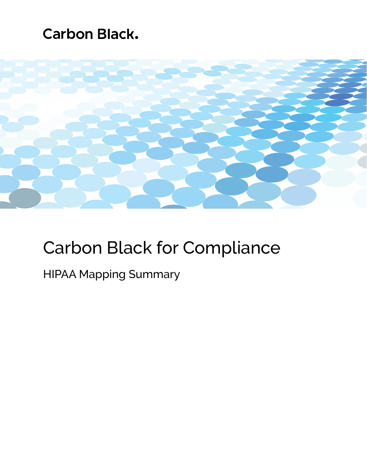## **Carbon Black.**



# Carbon Black for Compliance

### HIPAA Mapping Summary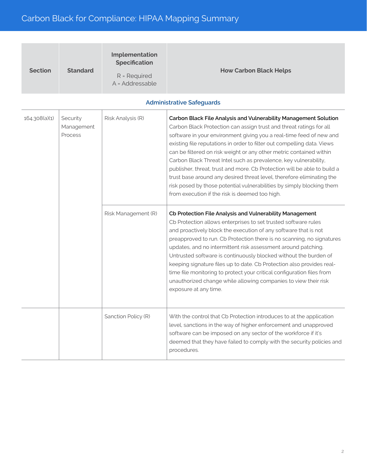| <b>Section</b> | <b>Standard</b> | Implementation<br><b>Specification</b><br>$R = Required$ | <b>How Carbon Black Helps</b> |
|----------------|-----------------|----------------------------------------------------------|-------------------------------|
|                |                 | A = Addressable                                          |                               |

| 164.308(a)(1) | Security<br>Management<br>Process | Risk Analysis (R)   | Carbon Black File Analysis and Vulnerability Management Solution<br>Carbon Black Protection can assign trust and threat ratings for all<br>software in your environment giving you a real-time feed of new and<br>existing file reputations in order to filter out compelling data. Views<br>can be filtered on risk weight or any other metric contained within<br>Carbon Black Threat Intel such as prevalence, key vulnerability,<br>publisher, threat, trust and more. Cb Protection will be able to build a<br>trust base around any desired threat level, therefore eliminating the<br>risk posed by those potential vulnerabilities by simply blocking them<br>from execution if the risk is deemed too high. |
|---------------|-----------------------------------|---------------------|----------------------------------------------------------------------------------------------------------------------------------------------------------------------------------------------------------------------------------------------------------------------------------------------------------------------------------------------------------------------------------------------------------------------------------------------------------------------------------------------------------------------------------------------------------------------------------------------------------------------------------------------------------------------------------------------------------------------|
|               |                                   | Risk Management (R) | Cb Protection File Analysis and Vulnerability Management<br>Cb Protection allows enterprises to set trusted software rules<br>and proactively block the execution of any software that is not<br>preapproved to run. Cb Protection there is no scanning, no signatures<br>updates, and no intermittent risk assessment around patching.<br>Untrusted software is continuously blocked without the burden of<br>keeping signature files up to date. Cb Protection also provides real-<br>time file monitoring to protect your critical configuration files from<br>unauthorized change while allowing companies to view their risk<br>exposure at any time.                                                           |
|               |                                   | Sanction Policy (R) | With the control that Cb Protection introduces to at the application<br>level, sanctions in the way of higher enforcement and unapproved<br>software can be imposed on any sector of the workforce if it's<br>deemed that they have failed to comply with the security policies and<br>procedures.                                                                                                                                                                                                                                                                                                                                                                                                                   |

#### **Administrative Safeguards**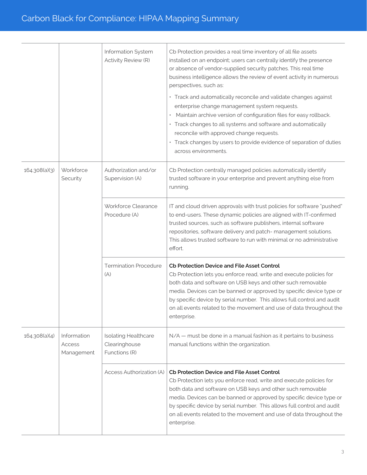|               |                                     | Information System<br>Activity Review (R)                     | Cb Protection provides a real time inventory of all file assets<br>installed on an endpoint; users can centrally identify the presence<br>or absence of vendor-supplied security patches. This real time<br>business intelligence allows the review of event activity in numerous<br>perspectives, such as:<br>· Track and automatically reconcile and validate changes against<br>enterprise change management system requests.<br>Maintain archive version of configuration files for easy rollback.<br>$\bullet$<br>· Track changes to all systems and software and automatically<br>reconcile with approved change requests.<br>Track changes by users to provide evidence of separation of duties<br>across environments. |
|---------------|-------------------------------------|---------------------------------------------------------------|--------------------------------------------------------------------------------------------------------------------------------------------------------------------------------------------------------------------------------------------------------------------------------------------------------------------------------------------------------------------------------------------------------------------------------------------------------------------------------------------------------------------------------------------------------------------------------------------------------------------------------------------------------------------------------------------------------------------------------|
| 164.308(a)(3) | Workforce<br>Security               | Authorization and/or<br>Supervision (A)                       | Cb Protection centrally managed policies automatically identify<br>trusted software in your enterprise and prevent anything else from<br>running.                                                                                                                                                                                                                                                                                                                                                                                                                                                                                                                                                                              |
|               |                                     | Workforce Clearance<br>Procedure (A)                          | IT and cloud driven approvals with trust policies for software "pushed"<br>to end-users. These dynamic policies are aligned with IT-confirmed<br>trusted sources, such as software publishers, internal software<br>repositories, software delivery and patch- management solutions.<br>This allows trusted software to run with minimal or no administrative<br>effort.                                                                                                                                                                                                                                                                                                                                                       |
|               |                                     | <b>Termination Procedure</b><br>(A)                           | Cb Protection Device and File Asset Control<br>Cb Protection lets you enforce read, write and execute policies for<br>both data and software on USB keys and other such removable<br>media. Devices can be banned or approved by specific device type or<br>by specific device by serial number. This allows full control and audit<br>on all events related to the movement and use of data throughout the<br>enterprise.                                                                                                                                                                                                                                                                                                     |
| 164.308(a)(4) | Information<br>Access<br>Management | <b>Isolating Healthcare</b><br>Clearinghouse<br>Functions (R) | N/A – must be done in a manual fashion as it pertains to business<br>manual functions within the organization.                                                                                                                                                                                                                                                                                                                                                                                                                                                                                                                                                                                                                 |
|               |                                     | Access Authorization (A)                                      | Cb Protection Device and File Asset Control<br>Cb Protection lets you enforce read, write and execute policies for<br>both data and software on USB keys and other such removable<br>media. Devices can be banned or approved by specific device type or<br>by specific device by serial number. This allows full control and audit<br>on all events related to the movement and use of data throughout the<br>enterprise.                                                                                                                                                                                                                                                                                                     |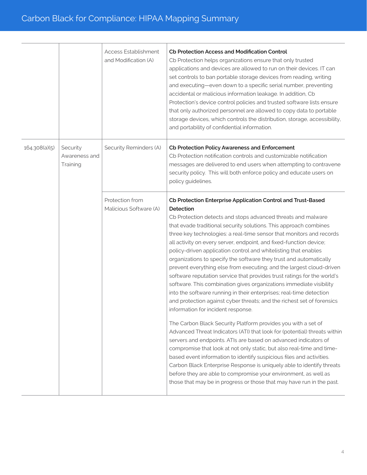|               |                                       | <b>Access Establishment</b><br>and Modification (A) | Cb Protection Access and Modification Control<br>Cb Protection helps organizations ensure that only trusted<br>applications and devices are allowed to run on their devices. IT can<br>set controls to ban portable storage devices from reading, writing<br>and executing—even down to a specific serial number, preventing<br>accidental or malicious information leakage. In addition, Cb<br>Protection's device control policies and trusted software lists ensure<br>that only authorized personnel are allowed to copy data to portable<br>storage devices, which controls the distribution, storage, accessibility,<br>and portability of confidential information.                                                                                                                                                                                                                                                                                                                                                                                                                                                                                                                                                                                                                                                                                                                                                                                                                                    |
|---------------|---------------------------------------|-----------------------------------------------------|---------------------------------------------------------------------------------------------------------------------------------------------------------------------------------------------------------------------------------------------------------------------------------------------------------------------------------------------------------------------------------------------------------------------------------------------------------------------------------------------------------------------------------------------------------------------------------------------------------------------------------------------------------------------------------------------------------------------------------------------------------------------------------------------------------------------------------------------------------------------------------------------------------------------------------------------------------------------------------------------------------------------------------------------------------------------------------------------------------------------------------------------------------------------------------------------------------------------------------------------------------------------------------------------------------------------------------------------------------------------------------------------------------------------------------------------------------------------------------------------------------------|
| 164.308(a)(5) | Security<br>Awareness and<br>Training | Security Reminders (A)                              | Cb Protection Policy Awareness and Enforcement<br>Cb Protection notification controls and customizable notification<br>messages are delivered to end users when attempting to contravene<br>security policy. This will both enforce policy and educate users on<br>policy guidelines.                                                                                                                                                                                                                                                                                                                                                                                                                                                                                                                                                                                                                                                                                                                                                                                                                                                                                                                                                                                                                                                                                                                                                                                                                         |
|               |                                       | Protection from<br>Malicious Software (A)           | Cb Protection Enterprise Application Control and Trust-Based<br>Detection<br>Cb Protection detects and stops advanced threats and malware<br>that evade traditional security solutions. This approach combines<br>three key technologies: a real-time sensor that monitors and records<br>all activity on every server, endpoint, and fixed-function device;<br>policy-driven application control and whitelisting that enables<br>organizations to specify the software they trust and automatically<br>prevent everything else from executing; and the largest cloud-driven<br>software reputation service that provides trust ratings for the world's<br>software. This combination gives organizations immediate visibility<br>into the software running in their enterprises; real-time detection<br>and protection against cyber threats; and the richest set of forensics<br>information for incident response.<br>The Carbon Black Security Platform provides you with a set of<br>Advanced Threat Indicators (ATI) that look for (potential) threats within<br>servers and endpoints. ATIs are based on advanced indicators of<br>compromise that look at not only static, but also real-time and time-<br>based event information to identify suspicious files and activities.<br>Carbon Black Enterprise Response is uniquely able to identify threats<br>before they are able to compromise your environment, as well as<br>those that may be in progress or those that may have run in the past. |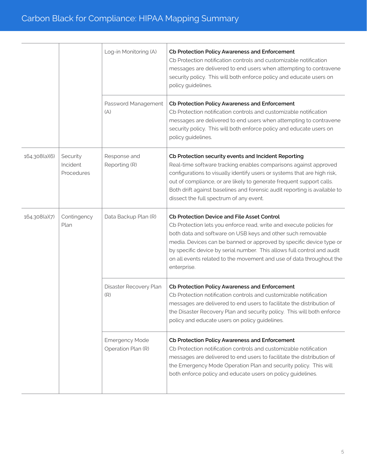|               |                                    | Log-in Monitoring (A)                       | Cb Protection Policy Awareness and Enforcement<br>Cb Protection notification controls and customizable notification<br>messages are delivered to end users when attempting to contravene<br>security policy. This will both enforce policy and educate users on<br>policy guidelines.                                                                                                                                      |
|---------------|------------------------------------|---------------------------------------------|----------------------------------------------------------------------------------------------------------------------------------------------------------------------------------------------------------------------------------------------------------------------------------------------------------------------------------------------------------------------------------------------------------------------------|
|               |                                    | Password Management<br>(A)                  | Cb Protection Policy Awareness and Enforcement<br>Cb Protection notification controls and customizable notification<br>messages are delivered to end users when attempting to contravene<br>security policy. This will both enforce policy and educate users on<br>policy guidelines.                                                                                                                                      |
| 164.308(a)(6) | Security<br>Incident<br>Procedures | Response and<br>Reporting (R)               | Cb Protection security events and Incident Reporting<br>Real-time software tracking enables comparisons against approved<br>configurations to visually identify users or systems that are high risk,<br>out of compliance, or are likely to generate frequent support calls.<br>Both drift against baselines and forensic audit reporting is available to<br>dissect the full spectrum of any event.                       |
| 164.308(a)(7) | Contingency<br>Plan                | Data Backup Plan (R)                        | Cb Protection Device and File Asset Control<br>Cb Protection lets you enforce read, write and execute policies for<br>both data and software on USB keys and other such removable<br>media. Devices can be banned or approved by specific device type or<br>by specific device by serial number. This allows full control and audit<br>on all events related to the movement and use of data throughout the<br>enterprise. |
|               |                                    | Disaster Recovery Plan<br>(R)               | Cb Protection Policy Awareness and Enforcement<br>Cb Protection notification controls and customizable notification<br>messages are delivered to end users to facilitate the distribution of<br>the Disaster Recovery Plan and security policy. This will both enforce<br>policy and educate users on policy guidelines.                                                                                                   |
|               |                                    | <b>Emergency Mode</b><br>Operation Plan (R) | Cb Protection Policy Awareness and Enforcement<br>Cb Protection notification controls and customizable notification<br>messages are delivered to end users to facilitate the distribution of<br>the Emergency Mode Operation Plan and security policy. This will<br>both enforce policy and educate users on policy guidelines.                                                                                            |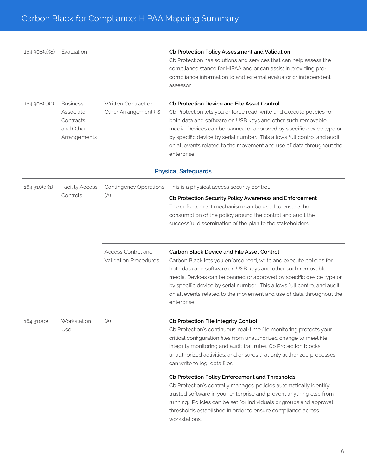| 164.308(a)(8) | Evaluation                                                             |                                              | Cb Protection Policy Assessment and Validation<br>Cb Protection has solutions and services that can help assess the<br>compliance stance for HIPAA and or can assist in providing pre-<br>compliance information to and external evaluator or independent<br>assessor.                                                                                                                                                     |
|---------------|------------------------------------------------------------------------|----------------------------------------------|----------------------------------------------------------------------------------------------------------------------------------------------------------------------------------------------------------------------------------------------------------------------------------------------------------------------------------------------------------------------------------------------------------------------------|
| 164.308(b)(1) | <b>Business</b><br>Associate<br>Contracts<br>and Other<br>Arrangements | Written Contract or<br>Other Arrangement (R) | Cb Protection Device and File Asset Control<br>Cb Protection lets you enforce read, write and execute policies for<br>both data and software on USB keys and other such removable<br>media. Devices can be banned or approved by specific device type or<br>by specific device by serial number. This allows full control and audit<br>on all events related to the movement and use of data throughout the<br>enterprise. |

#### **Physical Safeguards**

| 164.310(a)(1) | <b>Facility Access</b><br>Controls | <b>Contingency Operations</b><br>(A)               | This is a physical access security control.<br>Cb Protection Security Policy Awareness and Enforcement<br>The enforcement mechanism can be used to ensure the<br>consumption of the policy around the control and audit the<br>successful dissemination of the plan to the stakeholders.                                                                                                                                                                                                                                                                                                                                                                                                                          |
|---------------|------------------------------------|----------------------------------------------------|-------------------------------------------------------------------------------------------------------------------------------------------------------------------------------------------------------------------------------------------------------------------------------------------------------------------------------------------------------------------------------------------------------------------------------------------------------------------------------------------------------------------------------------------------------------------------------------------------------------------------------------------------------------------------------------------------------------------|
|               |                                    | Access Control and<br><b>Validation Procedures</b> | <b>Carbon Black Device and File Asset Control</b><br>Carbon Black lets you enforce read, write and execute policies for<br>both data and software on USB keys and other such removable<br>media. Devices can be banned or approved by specific device type or<br>by specific device by serial number. This allows full control and audit<br>on all events related to the movement and use of data throughout the<br>enterprise.                                                                                                                                                                                                                                                                                   |
| 164.310(b)    | Workstation<br>Use                 | (A)                                                | Cb Protection File Integrity Control<br>Cb Protection's continuous, real-time file monitoring protects your<br>critical configuration files from unauthorized change to meet file<br>integrity monitoring and audit trail rules. Cb Protection blocks<br>unauthorized activities, and ensures that only authorized processes<br>can write to log data files.<br>Cb Protection Policy Enforcement and Thresholds<br>Cb Protection's centrally managed policies automatically identify<br>trusted software in your enterprise and prevent anything else from<br>running. Policies can be set for individuals or groups and approval<br>thresholds established in order to ensure compliance across<br>workstations. |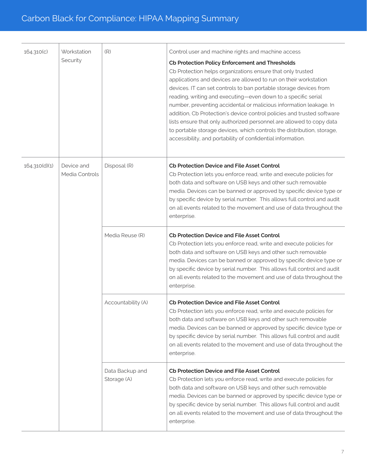| 164.310(c)    | Workstation<br>Security      | (R)                            | Control user and machine rights and machine access<br>Cb Protection Policy Enforcement and Thresholds<br>Cb Protection helps organizations ensure that only trusted<br>applications and devices are allowed to run on their workstation<br>devices. IT can set controls to ban portable storage devices from<br>reading, writing and executing-even down to a specific serial<br>number, preventing accidental or malicious information leakage. In<br>addition, Cb Protection's device control policies and trusted software<br>lists ensure that only authorized personnel are allowed to copy data<br>to portable storage devices, which controls the distribution, storage,<br>accessibility, and portability of confidential information. |
|---------------|------------------------------|--------------------------------|------------------------------------------------------------------------------------------------------------------------------------------------------------------------------------------------------------------------------------------------------------------------------------------------------------------------------------------------------------------------------------------------------------------------------------------------------------------------------------------------------------------------------------------------------------------------------------------------------------------------------------------------------------------------------------------------------------------------------------------------|
| 164.310(d)(1) | Device and<br>Media Controls | Disposal (R)                   | <b>Cb Protection Device and File Asset Control</b><br>Cb Protection lets you enforce read, write and execute policies for<br>both data and software on USB keys and other such removable<br>media. Devices can be banned or approved by specific device type or<br>by specific device by serial number. This allows full control and audit<br>on all events related to the movement and use of data throughout the<br>enterprise.                                                                                                                                                                                                                                                                                                              |
|               |                              | Media Reuse (R)                | <b>Cb Protection Device and File Asset Control</b><br>Cb Protection lets you enforce read, write and execute policies for<br>both data and software on USB keys and other such removable<br>media. Devices can be banned or approved by specific device type or<br>by specific device by serial number. This allows full control and audit<br>on all events related to the movement and use of data throughout the<br>enterprise.                                                                                                                                                                                                                                                                                                              |
|               |                              | Accountability (A)             | Cb Protection Device and File Asset Control<br>Cb Protection lets you enforce read, write and execute policies for<br>both data and software on USB keys and other such removable<br>media. Devices can be banned or approved by specific device type or<br>by specific device by serial number. This allows full control and audit<br>on all events related to the movement and use of data throughout the<br>enterprise.                                                                                                                                                                                                                                                                                                                     |
|               |                              | Data Backup and<br>Storage (A) | <b>Cb Protection Device and File Asset Control</b><br>Cb Protection lets you enforce read, write and execute policies for<br>both data and software on USB keys and other such removable<br>media. Devices can be banned or approved by specific device type or<br>by specific device by serial number. This allows full control and audit<br>on all events related to the movement and use of data throughout the<br>enterprise.                                                                                                                                                                                                                                                                                                              |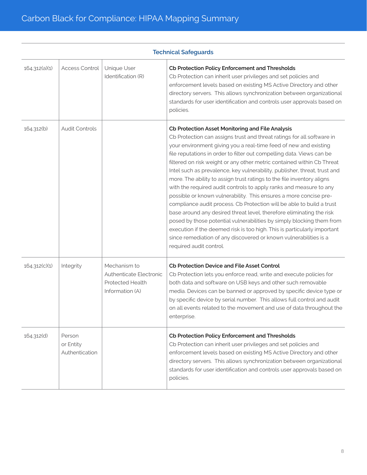|               | <b>Technical Safeguards</b>           |                                                                                       |                                                                                                                                                                                                                                                                                                                                                                                                                                                                                                                                                                                                                                                                                                                                                                                                                                                                                                                                                                                                                                                           |  |
|---------------|---------------------------------------|---------------------------------------------------------------------------------------|-----------------------------------------------------------------------------------------------------------------------------------------------------------------------------------------------------------------------------------------------------------------------------------------------------------------------------------------------------------------------------------------------------------------------------------------------------------------------------------------------------------------------------------------------------------------------------------------------------------------------------------------------------------------------------------------------------------------------------------------------------------------------------------------------------------------------------------------------------------------------------------------------------------------------------------------------------------------------------------------------------------------------------------------------------------|--|
| 164.312(a)(1) | <b>Access Control</b>                 | Unique User<br>Identification (R)                                                     | Cb Protection Policy Enforcement and Thresholds<br>Cb Protection can inherit user privileges and set policies and<br>enforcement levels based on existing MS Active Directory and other<br>directory servers. This allows synchronization between organizational<br>standards for user identification and controls user approvals based on<br>policies.                                                                                                                                                                                                                                                                                                                                                                                                                                                                                                                                                                                                                                                                                                   |  |
| 164.312(b)    | <b>Audit Controls</b>                 |                                                                                       | Cb Protection Asset Monitoring and File Analysis<br>Cb Protection can assigns trust and threat ratings for all software in<br>your environment giving you a real-time feed of new and existing<br>file reputations in order to filter out compelling data. Views can be<br>filtered on risk weight or any other metric contained within Cb Threat<br>Intel such as prevalence, key vulnerability, publisher, threat, trust and<br>more. The ability to assign trust ratings to the file inventory aligns<br>with the required audit controls to apply ranks and measure to any<br>possible or known vulnerability. This ensures a more concise pre-<br>compliance audit process. Cb Protection will be able to build a trust<br>base around any desired threat level, therefore eliminating the risk<br>posed by those potential vulnerabilities by simply blocking them from<br>execution if the deemed risk is too high. This is particularly important<br>since remediation of any discovered or known vulnerabilities is a<br>required audit control. |  |
| 164.312(c)(1) | Integrity                             | Mechanism to<br>Authenticate Electronic<br><b>Protected Health</b><br>Information (A) | <b>Cb Protection Device and File Asset Control</b><br>Cb Protection lets you enforce read, write and execute policies for<br>both data and software on USB keys and other such removable<br>media. Devices can be banned or approved by specific device type or<br>by specific device by serial number. This allows full control and audit<br>on all events related to the movement and use of data throughout the<br>enterprise.                                                                                                                                                                                                                                                                                                                                                                                                                                                                                                                                                                                                                         |  |
| 164.312(d)    | Person<br>or Entity<br>Authentication |                                                                                       | Cb Protection Policy Enforcement and Thresholds<br>Cb Protection can inherit user privileges and set policies and<br>enforcement levels based on existing MS Active Directory and other<br>directory servers. This allows synchronization between organizational<br>standards for user identification and controls user approvals based on<br>policies.                                                                                                                                                                                                                                                                                                                                                                                                                                                                                                                                                                                                                                                                                                   |  |